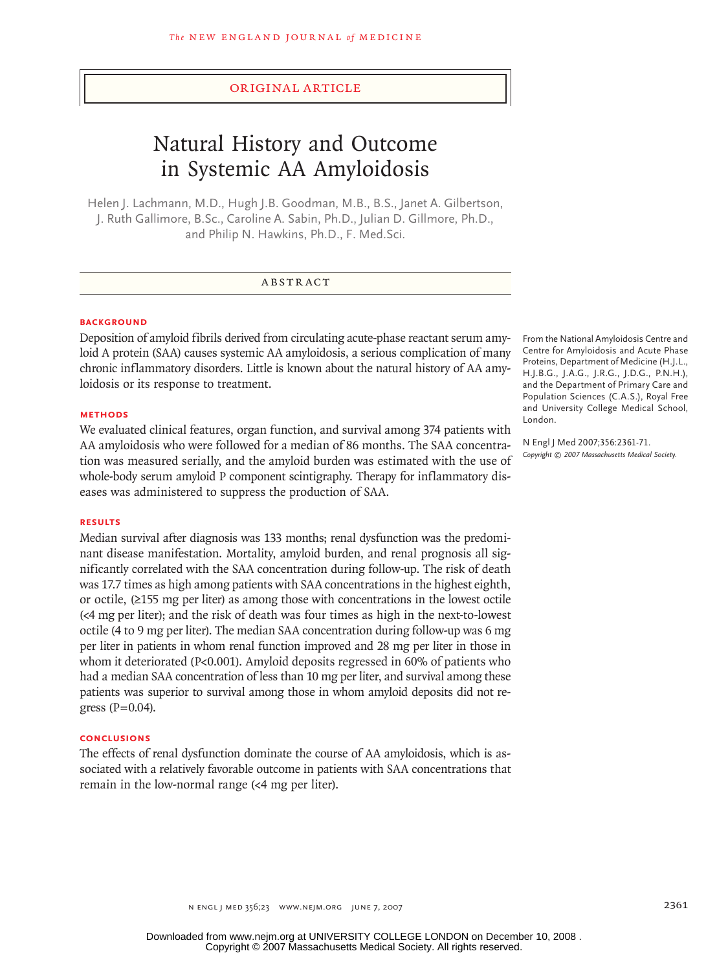## original article

# Natural History and Outcome in Systemic AA Amyloidosis

Helen J. Lachmann, M.D., Hugh J.B. Goodman, M.B., B.S., Janet A. Gilbertson, J. Ruth Gallimore, B.Sc., Caroline A. Sabin, Ph.D., Julian D. Gillmore, Ph.D., and Philip N. Hawkins, Ph.D., F. Med.Sci.

## **ABSTRACT**

#### **BACKGROUND**

Deposition of amyloid fibrils derived from circulating acute-phase reactant serum amyloid A protein (SAA) causes systemic AA amyloidosis, a serious complication of many chronic inflammatory disorders. Little is known about the natural history of AA amyloidosis or its response to treatment.

#### **METHODS**

We evaluated clinical features, organ function, and survival among 374 patients with AA amyloidosis who were followed for a median of 86 months. The SAA concentration was measured serially, and the amyloid burden was estimated with the use of whole-body serum amyloid P component scintigraphy. Therapy for inflammatory diseases was administered to suppress the production of SAA.

#### **RESULTS**

Median survival after diagnosis was 133 months; renal dysfunction was the predominant disease manifestation. Mortality, amyloid burden, and renal prognosis all significantly correlated with the SAA concentration during follow-up. The risk of death was 17.7 times as high among patients with SAA concentrations in the highest eighth, or octile, (≥155 mg per liter) as among those with concentrations in the lowest octile (<4 mg per liter); and the risk of death was four times as high in the next-to-lowest octile (4 to 9 mg per liter). The median SAA concentration during follow-up was 6 mg per liter in patients in whom renal function improved and 28 mg per liter in those in whom it deteriorated (P<0.001). Amyloid deposits regressed in 60% of patients who had a median SAA concentration of less than 10 mg per liter, and survival among these patients was superior to survival among those in whom amyloid deposits did not regress  $(P=0.04)$ .

#### **CONCLUSIONS**

The effects of renal dysfunction dominate the course of AA amyloidosis, which is associated with a relatively favorable outcome in patients with SAA concentrations that remain in the low-normal range (<4 mg per liter).

From the National Amyloidosis Centre and Centre for Amyloidosis and Acute Phase Proteins, Department of Medicine (H.J.L., H.J.B.G., J.A.G., J.R.G., J.D.G., P.N.H.), and the Department of Primary Care and Population Sciences (C.A.S.), Royal Free and University College Medical School, London.

N Engl J Med 2007;356:2361-71. *Copyright © 2007 Massachusetts Medical Society.*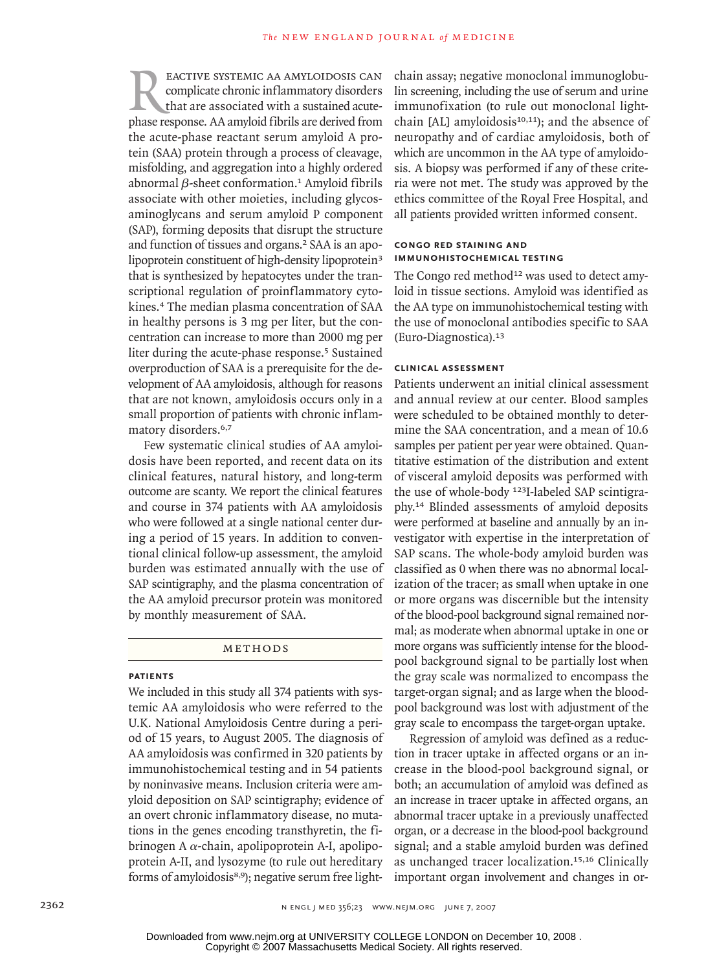EACTIVE SYSTEMIC AA AMYLOIDOSIS CAN complicate chronic inflammatory disorders that are associated with a sustained acute-<br>phase response. AA amyloid fibrils are derived from complicate chronic inflammatory disorders that are associated with a sustained acutethe acute-phase reactant serum amyloid A protein (SAA) protein through a process of cleavage, misfolding, and aggregation into a highly ordered abnormal  $β$ -sheet conformation.<sup>1</sup> Amyloid fibrils associate with other moieties, including glycosaminoglycans and serum amyloid P component (SAP), forming deposits that disrupt the structure and function of tissues and organs.<sup>2</sup> SAA is an apolipoprotein constituent of high-density lipoprotein<sup>3</sup> that is synthesized by hepatocytes under the transcriptional regulation of proinflammatory cytokines.4 The median plasma concentration of SAA in healthy persons is 3 mg per liter, but the concentration can increase to more than 2000 mg per liter during the acute-phase response.<sup>5</sup> Sustained overproduction of SAA is a prerequisite for the development of AA amyloidosis, although for reasons that are not known, amyloidosis occurs only in a small proportion of patients with chronic inflammatory disorders.<sup>6,7</sup>

Few systematic clinical studies of AA amyloidosis have been reported, and recent data on its clinical features, natural history, and long-term outcome are scanty. We report the clinical features and course in 374 patients with AA amyloidosis who were followed at a single national center during a period of 15 years. In addition to conventional clinical follow-up assessment, the amyloid burden was estimated annually with the use of SAP scintigraphy, and the plasma concentration of the AA amyloid precursor protein was monitored by monthly measurement of SAA.

METHODS

#### **PATIENTS**

We included in this study all 374 patients with systemic AA amyloidosis who were referred to the U.K. National Amyloidosis Centre during a period of 15 years, to August 2005. The diagnosis of AA amyloidosis was confirmed in 320 patients by immunohistochemical testing and in 54 patients by noninvasive means. Inclusion criteria were amyloid deposition on SAP scintigraphy; evidence of an overt chronic inflammatory disease, no mutations in the genes encoding transthyretin, the fibrinogen A $\alpha$ -chain, apolipoprotein A-I, apolipoprotein A-II, and lysozyme (to rule out hereditary forms of amyloidosis<sup>8,9</sup>); negative serum free lightchain assay; negative monoclonal immunoglobulin screening, including the use of serum and urine immunofixation (to rule out monoclonal lightchain [AL] amyloidosis $10,11$ ]; and the absence of neuropathy and of cardiac amyloidosis, both of which are uncommon in the AA type of amyloidosis. A biopsy was performed if any of these criteria were not met. The study was approved by the ethics committee of the Royal Free Hospital, and all patients provided written informed consent.

## **CONGO RED STAINING AND IMMUNOHISTOCHEMICAL TESTING**

The Congo red method<sup>12</sup> was used to detect amyloid in tissue sections. Amyloid was identified as the AA type on immunohistochemical testing with the use of monoclonal antibodies specific to SAA (Euro-Diagnostica).<sup>13</sup>

## **CLINICAL ASSESSMENT**

Patients underwent an initial clinical assessment and annual review at our center. Blood samples were scheduled to be obtained monthly to determine the SAA concentration, and a mean of 10.6 samples per patient per year were obtained. Quantitative estimation of the distribution and extent of visceral amyloid deposits was performed with the use of whole-body 123I-labeled SAP scintigraphy.14 Blinded assessments of amyloid deposits were performed at baseline and annually by an investigator with expertise in the interpretation of SAP scans. The whole-body amyloid burden was classified as 0 when there was no abnormal localization of the tracer; as small when uptake in one or more organs was discernible but the intensity of the blood-pool background signal remained normal; as moderate when abnormal uptake in one or more organs was sufficiently intense for the bloodpool background signal to be partially lost when the gray scale was normalized to encompass the target-organ signal; and as large when the bloodpool background was lost with adjustment of the gray scale to encompass the target-organ uptake.

Regression of amyloid was defined as a reduction in tracer uptake in affected organs or an increase in the blood-pool background signal, or both; an accumulation of amyloid was defined as an increase in tracer uptake in affected organs, an abnormal tracer uptake in a previously unaffected organ, or a decrease in the blood-pool background signal; and a stable amyloid burden was defined as unchanged tracer localization.15,16 Clinically important organ involvement and changes in or-

Copyright © 2007 Massachusetts Medical Society. All rights reserved. Downloaded from www.nejm.org at UNIVERSITY COLLEGE LONDON on December 10, 2008 .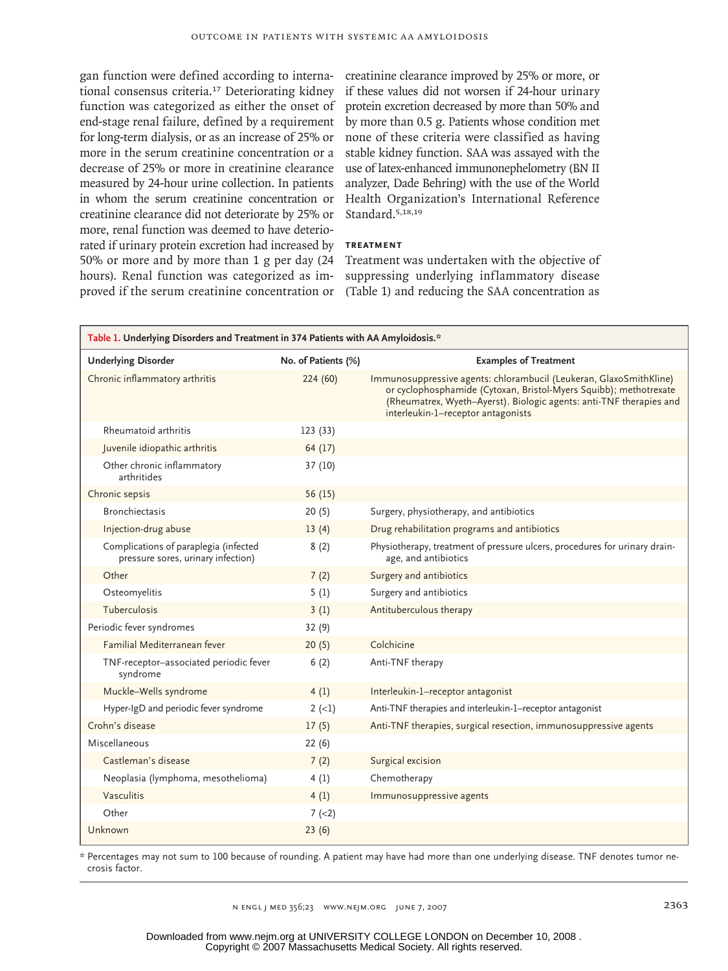gan function were defined according to international consensus criteria.17 Deteriorating kidney function was categorized as either the onset of end-stage renal failure, defined by a requirement for long-term dialysis, or as an increase of 25% or more in the serum creatinine concentration or a decrease of 25% or more in creatinine clearance measured by 24-hour urine collection. In patients in whom the serum creatinine concentration or creatinine clearance did not deteriorate by 25% or more, renal function was deemed to have deteriorated if urinary protein excretion had increased by 50% or more and by more than 1 g per day (24 hours). Renal function was categorized as im-

creatinine clearance improved by 25% or more, or if these values did not worsen if 24-hour urinary protein excretion decreased by more than 50% and by more than 0.5 g. Patients whose condition met none of these criteria were classified as having stable kidney function. SAA was assayed with the use of latex-enhanced immunonephelometry (BN II analyzer, Dade Behring) with the use of the World Health Organization's International Reference Standard.5,18,19

# **TREATMENT**

proved if the serum creatinine concentration or (Table 1) and reducing the SAA concentration as Treatment was undertaken with the objective of suppressing underlying inflammatory disease

| Table 1. Underlying Disorders and Treatment in 374 Patients with AA Amyloidosis.* |                     |                                                                                                                                                                                                                                                      |  |  |  |
|-----------------------------------------------------------------------------------|---------------------|------------------------------------------------------------------------------------------------------------------------------------------------------------------------------------------------------------------------------------------------------|--|--|--|
| <b>Underlying Disorder</b>                                                        | No. of Patients (%) | <b>Examples of Treatment</b>                                                                                                                                                                                                                         |  |  |  |
| Chronic inflammatory arthritis                                                    | 224(60)             | Immunosuppressive agents: chlorambucil (Leukeran, GlaxoSmithKline)<br>or cyclophosphamide (Cytoxan, Bristol-Myers Squibb); methotrexate<br>(Rheumatrex, Wyeth-Ayerst). Biologic agents: anti-TNF therapies and<br>interleukin-1-receptor antagonists |  |  |  |
| Rheumatoid arthritis                                                              | 123(33)             |                                                                                                                                                                                                                                                      |  |  |  |
| Juvenile idiopathic arthritis                                                     | 64 (17)             |                                                                                                                                                                                                                                                      |  |  |  |
| Other chronic inflammatory<br>arthritides                                         | 37(10)              |                                                                                                                                                                                                                                                      |  |  |  |
| Chronic sepsis                                                                    | 56 (15)             |                                                                                                                                                                                                                                                      |  |  |  |
| <b>Bronchiectasis</b>                                                             | 20(5)               | Surgery, physiotherapy, and antibiotics                                                                                                                                                                                                              |  |  |  |
| Injection-drug abuse                                                              | 13(4)               | Drug rehabilitation programs and antibiotics                                                                                                                                                                                                         |  |  |  |
| Complications of paraplegia (infected<br>pressure sores, urinary infection)       | 8(2)                | Physiotherapy, treatment of pressure ulcers, procedures for urinary drain-<br>age, and antibiotics                                                                                                                                                   |  |  |  |
| Other                                                                             | 7(2)                | Surgery and antibiotics                                                                                                                                                                                                                              |  |  |  |
| Osteomyelitis                                                                     | 5(1)                | Surgery and antibiotics                                                                                                                                                                                                                              |  |  |  |
| <b>Tuberculosis</b>                                                               | 3(1)                | Antituberculous therapy                                                                                                                                                                                                                              |  |  |  |
| Periodic fever syndromes                                                          | 32 (9)              |                                                                                                                                                                                                                                                      |  |  |  |
| Familial Mediterranean fever                                                      | 20(5)               | Colchicine                                                                                                                                                                                                                                           |  |  |  |
| TNF-receptor-associated periodic fever<br>syndrome                                | 6(2)                | Anti-TNF therapy                                                                                                                                                                                                                                     |  |  |  |
| Muckle-Wells syndrome                                                             | 4(1)                | Interleukin-1-receptor antagonist                                                                                                                                                                                                                    |  |  |  |
| Hyper-IgD and periodic fever syndrome                                             | $2 (-1)$            | Anti-TNF therapies and interleukin-1-receptor antagonist                                                                                                                                                                                             |  |  |  |
| Crohn's disease                                                                   | 17(5)               | Anti-TNF therapies, surgical resection, immunosuppressive agents                                                                                                                                                                                     |  |  |  |
| Miscellaneous                                                                     | 22(6)               |                                                                                                                                                                                                                                                      |  |  |  |
| Castleman's disease                                                               | 7(2)                | Surgical excision                                                                                                                                                                                                                                    |  |  |  |
| Neoplasia (lymphoma, mesothelioma)                                                | 4(1)                | Chemotherapy                                                                                                                                                                                                                                         |  |  |  |
| Vasculitis                                                                        | 4(1)                | Immunosuppressive agents                                                                                                                                                                                                                             |  |  |  |
| Other                                                                             | $7 (-2)$            |                                                                                                                                                                                                                                                      |  |  |  |
| Unknown                                                                           | 23(6)               |                                                                                                                                                                                                                                                      |  |  |  |

\* Percentages may not sum to 100 because of rounding. A patient may have had more than one underlying disease. TNF denotes tumor necrosis factor.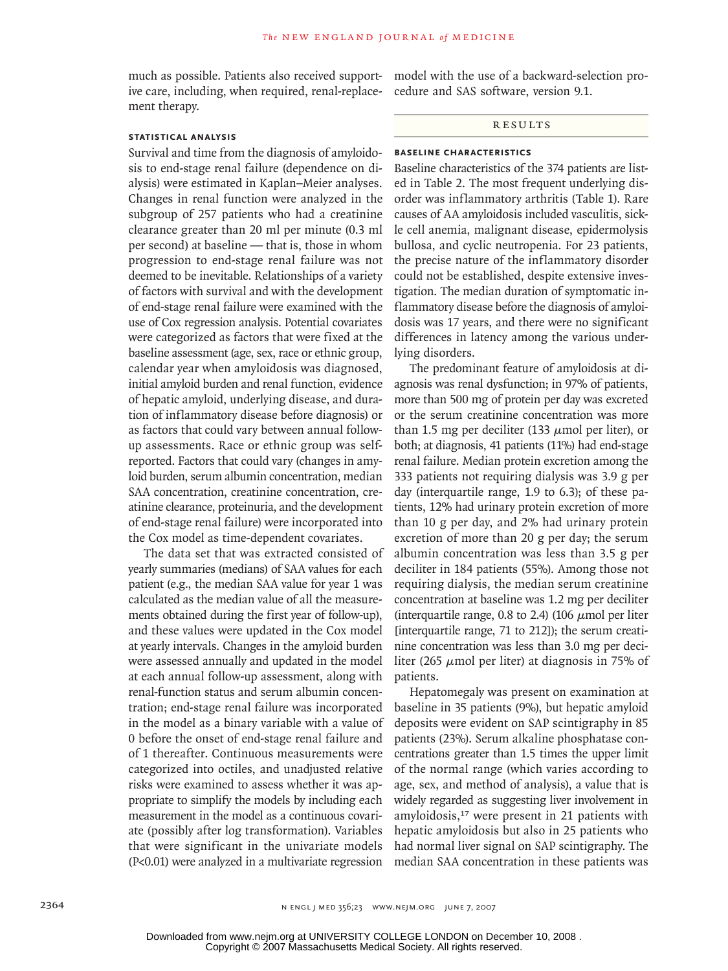much as possible. Patients also received supportive care, including, when required, renal-replacement therapy.

## **STATISTICAL ANALYSIS**

Survival and time from the diagnosis of amyloidosis to end-stage renal failure (dependence on dialysis) were estimated in Kaplan–Meier analyses. Changes in renal function were analyzed in the subgroup of 257 patients who had a creatinine clearance greater than 20 ml per minute (0.3 ml per second) at baseline — that is, those in whom progression to end-stage renal failure was not deemed to be inevitable. Relationships of a variety of factors with survival and with the development of end-stage renal failure were examined with the use of Cox regression analysis. Potential covariates were categorized as factors that were fixed at the baseline assessment (age, sex, race or ethnic group, calendar year when amyloidosis was diagnosed, initial amyloid burden and renal function, evidence of hepatic amyloid, underlying disease, and duration of inflammatory disease before diagnosis) or as factors that could vary between annual followup assessments. Race or ethnic group was selfreported. Factors that could vary (changes in amyloid burden, serum albumin concentration, median SAA concentration, creatinine concentration, creatinine clearance, proteinuria, and the development of end-stage renal failure) were incorporated into the Cox model as time-dependent covariates.

The data set that was extracted consisted of yearly summaries (medians) of SAA values for each patient (e.g., the median SAA value for year 1 was calculated as the median value of all the measurements obtained during the first year of follow-up), and these values were updated in the Cox model at yearly intervals. Changes in the amyloid burden were assessed annually and updated in the model at each annual follow-up assessment, along with renal-function status and serum albumin concentration; end-stage renal failure was incorporated in the model as a binary variable with a value of 0 before the onset of end-stage renal failure and of 1 thereafter. Continuous measurements were categorized into octiles, and unadjusted relative risks were examined to assess whether it was appropriate to simplify the models by including each measurement in the model as a continuous covariate (possibly after log transformation). Variables that were significant in the univariate models (P<0.01) were analyzed in a multivariate regression

model with the use of a backward-selection procedure and SAS software, version 9.1.

# R esult s

# **BASELINE CHARACTERISTICS**

Baseline characteristics of the 374 patients are listed in Table 2. The most frequent underlying disorder was inflammatory arthritis (Table 1). Rare causes of AA amyloidosis included vasculitis, sickle cell anemia, malignant disease, epidermolysis bullosa, and cyclic neutropenia. For 23 patients, the precise nature of the inflammatory disorder could not be established, despite extensive investigation. The median duration of symptomatic inflammatory disease before the diagnosis of amyloidosis was 17 years, and there were no significant differences in latency among the various underlying disorders.

The predominant feature of amyloidosis at diagnosis was renal dysfunction; in 97% of patients, more than 500 mg of protein per day was excreted or the serum creatinine concentration was more than 1.5 mg per deciliter (133 μmol per liter), or both; at diagnosis, 41 patients (11%) had end-stage renal failure. Median protein excretion among the 333 patients not requiring dialysis was 3.9 g per day (interquartile range, 1.9 to 6.3); of these patients, 12% had urinary protein excretion of more than 10 g per day, and 2% had urinary protein excretion of more than 20 g per day; the serum albumin concentration was less than 3.5 g per deciliter in 184 patients (55%). Among those not requiring dialysis, the median serum creatinine concentration at baseline was 1.2 mg per deciliter (interquartile range, 0.8 to 2.4) (106  $\mu$ mol per liter [interquartile range, 71 to 212]); the serum creatinine concentration was less than 3.0 mg per deciliter (265  $\mu$ mol per liter) at diagnosis in 75% of patients.

Hepatomegaly was present on examination at baseline in 35 patients (9%), but hepatic amyloid deposits were evident on SAP scintigraphy in 85 patients (23%). Serum alkaline phosphatase concentrations greater than 1.5 times the upper limit of the normal range (which varies according to age, sex, and method of analysis), a value that is widely regarded as suggesting liver involvement in amyloidosis,<sup>17</sup> were present in 21 patients with hepatic amyloidosis but also in 25 patients who had normal liver signal on SAP scintigraphy. The median SAA concentration in these patients was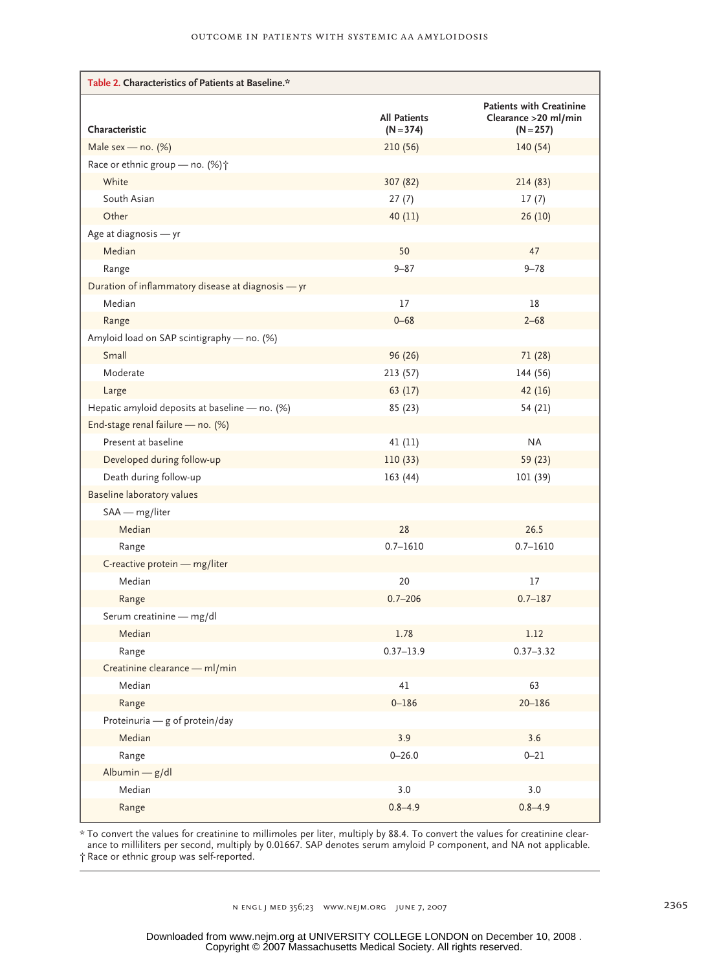| Table 2. Characteristics of Patients at Baseline.* |                                    |                                                                         |  |  |
|----------------------------------------------------|------------------------------------|-------------------------------------------------------------------------|--|--|
| Characteristic                                     | <b>All Patients</b><br>$(N = 374)$ | <b>Patients with Creatinine</b><br>Clearance > 20 ml/min<br>$(N = 257)$ |  |  |
| Male sex — no. $(%)$                               | 210(56)                            | 140(54)                                                                 |  |  |
| Race or ethnic group - no. (%) +                   |                                    |                                                                         |  |  |
| White                                              | 307 (82)                           | 214 (83)                                                                |  |  |
| South Asian                                        | 27(7)                              | 17(7)                                                                   |  |  |
| Other                                              | 40(11)                             | 26(10)                                                                  |  |  |
| Age at diagnosis - yr                              |                                    |                                                                         |  |  |
| Median                                             | 50                                 | 47                                                                      |  |  |
| Range                                              | $9 - 87$                           | $9 - 78$                                                                |  |  |
| Duration of inflammatory disease at diagnosis - yr |                                    |                                                                         |  |  |
| Median                                             | 17                                 | 18                                                                      |  |  |
| Range                                              | $0 - 68$                           | $2 - 68$                                                                |  |  |
| Amyloid load on SAP scintigraphy - no. (%)         |                                    |                                                                         |  |  |
| Small                                              | 96 (26)                            | 71 (28)                                                                 |  |  |
| Moderate                                           | 213(57)                            | 144 (56)                                                                |  |  |
| Large                                              | 63(17)                             | 42 (16)                                                                 |  |  |
| Hepatic amyloid deposits at baseline - no. (%)     | 85 (23)                            | 54 (21)                                                                 |  |  |
| End-stage renal failure - no. (%)                  |                                    |                                                                         |  |  |
| Present at baseline                                | 41(11)                             | <b>NA</b>                                                               |  |  |
| Developed during follow-up                         | 110(33)                            | 59 (23)                                                                 |  |  |
| Death during follow-up                             | 163(44)                            | 101 (39)                                                                |  |  |
| Baseline laboratory values                         |                                    |                                                                         |  |  |
| SAA - mg/liter                                     |                                    |                                                                         |  |  |
| Median                                             | 28                                 | 26.5                                                                    |  |  |
| Range                                              | $0.7 - 1610$                       | $0.7 - 1610$                                                            |  |  |
| C-reactive protein - mg/liter                      |                                    |                                                                         |  |  |
| Median                                             | 20                                 | 17                                                                      |  |  |
| Range                                              | $0.7 - 206$                        | $0.7 - 187$                                                             |  |  |
| Serum creatinine - mg/dl                           |                                    |                                                                         |  |  |
| Median                                             | 1.78                               | 1.12                                                                    |  |  |
| Kange                                              | $0.37 - 13.9$                      | $0.37 - 3.32$                                                           |  |  |
| Creatinine clearance - ml/min                      |                                    |                                                                         |  |  |
| Median                                             | 41                                 | 63                                                                      |  |  |
| Range                                              | $0 - 186$                          | $20 - 186$                                                              |  |  |
| Proteinuria - g of protein/day                     |                                    |                                                                         |  |  |
| Median                                             | 3.9                                | 3.6                                                                     |  |  |
| Range                                              | $0 - 26.0$                         | $0 - 21$                                                                |  |  |
| Albumin - g/dl                                     |                                    |                                                                         |  |  |
| Median                                             | 3.0                                | 3.0                                                                     |  |  |
| Range                                              | $0.8 - 4.9$                        | $0.8 - 4.9$                                                             |  |  |

\* To convert the values for creatinine to millimoles per liter, multiply by 88.4. To convert the values for creatinine clearance to milliliters per second, multiply by 0.01667. SAP denotes serum amyloid P component, and NA not applicable. † Race or ethnic group was self-reported.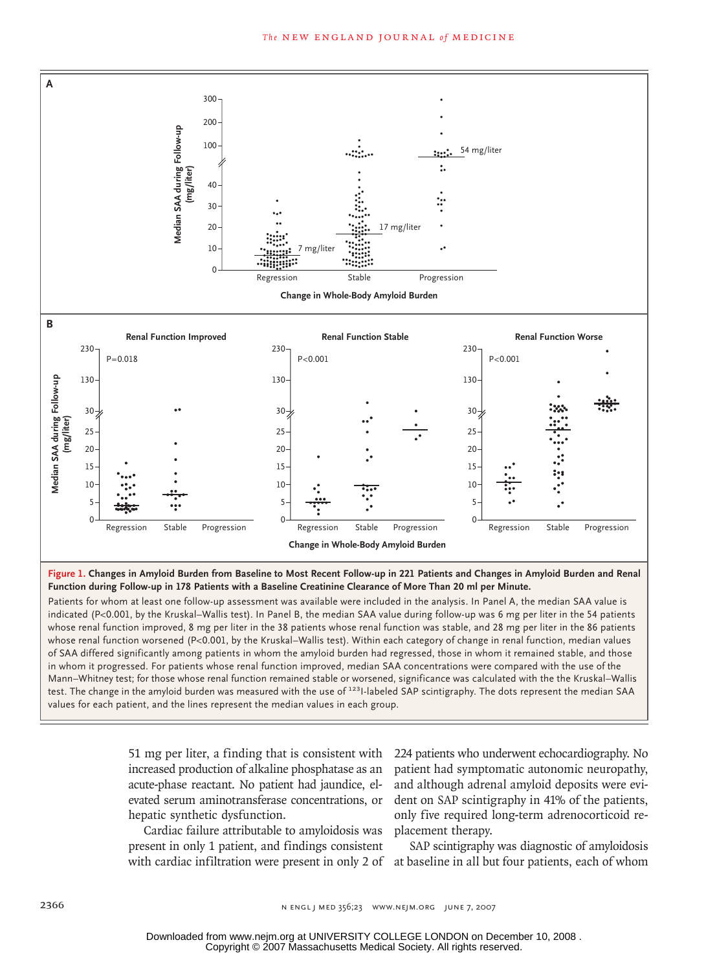

**Figure 1. Changes in Amyloid Burden from Baseline to Most Recent Follow-up in 221 Patients and Changes in Amyloid Burden and Renal Function during Follow-up in 178 Patients with a Baseline Creatinine Clearance of More Than 20 ml per Minute.**

test. The change in the amyloid burden was measured with the use of <sup>123</sup>I-labeled SAP scintigraphy. The dots represent the median SAA whose renal function improved, 8 mg per liter in the 38 patients whose renal function was stable, and 28 mg per liter in the 86 patients mode renal function improver, a mg permeral mode of parents investorial interest has exact, and as mg permeral mode of parents<br>whose renal function worsened (P<0.001, by the Kruskal–Wallis test). Within each category of ch in whom it progressed. For patients whose renal function improved, median SAA concentrations were compared with the use of the In whom it progressed. For patients whose renal function improved, median *SAA* concentrations were compared with the use of the Marin-Wallis Mann–Whitney test; for those whose renal function remained stable or worsened, s values for each patient, and the lines represent the median values in each group. of SAA differed significantly among patients in whom the amyloid burden had regressed, those in whom it remained stable, and those Patients for whom at least one follow-up assessment was available were included in the analysis. In Panel A, the median SAA value is indicated (P<0.001, by the Kruskal–Wallis test). In Panel B, the median SAA value during follow-up was 6 mg per liter in the 54 patients

> **Figure has been redrawn and type has been reset. Please check carefully.**

51 mg per liter, a finding that is consistent with 224 pa increased production of alkaline phosphatase as an acute-phase reactant. No patient had jaundice, elevated serum aminotransferase concentrations, or hepatic synthetic dysfunction.

Cardiac failure attributable to amyloidosis was present in only 1 patient, and findings consistent with cardiac infiltration were present in only 2 of at baseline in all but four patients, each of whom

224 patients who underwent echocardiography. No patient had symptomatic autonomic neuropathy, and although adrenal amyloid deposits were evident on SAP scintigraphy in 41% of the patients, only five required long-term adrenocorticoid replacement therapy.

SAP scintigraphy was diagnostic of amyloidosis

Copyright © 2007 Massachusetts Medical Society. All rights reserved. Downloaded from www.nejm.org at UNIVERSITY COLLEGE LONDON on December 10, 2008 .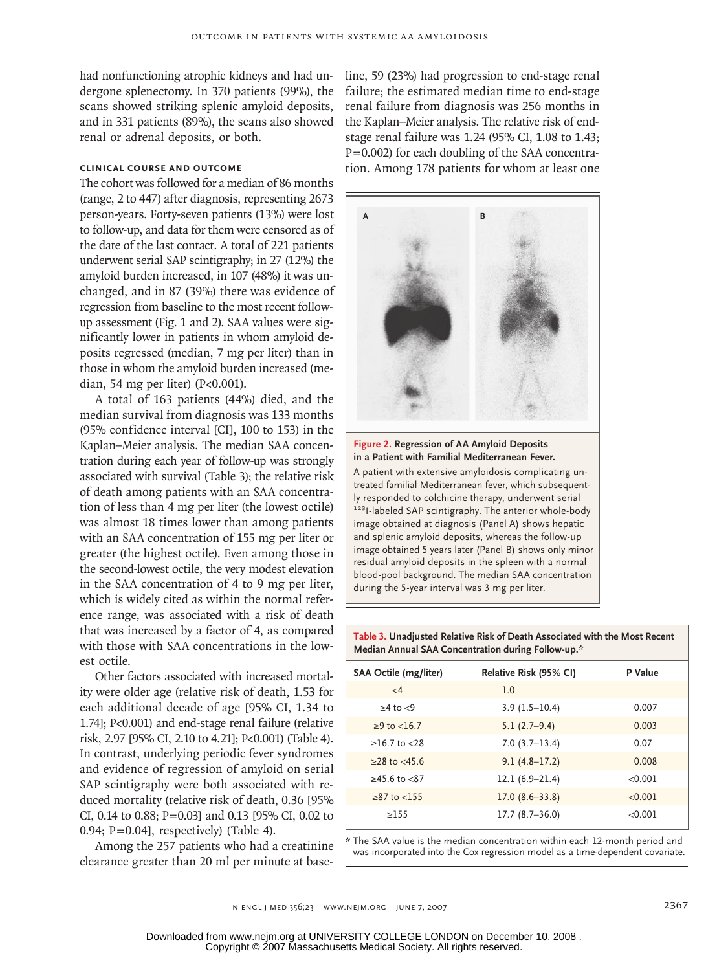had nonfunctioning atrophic kidneys and had undergone splenectomy. In 370 patients (99%), the scans showed striking splenic amyloid deposits, and in 331 patients (89%), the scans also showed renal or adrenal deposits, or both.

## **CLINICAL COURSE AND OUTCOME**

The cohort was followed for a median of 86 months (range, 2 to 447) after diagnosis, representing 2673 person-years. Forty-seven patients (13%) were lost to follow-up, and data for them were censored as of the date of the last contact. A total of 221 patients underwent serial SAP scintigraphy; in 27 (12%) the amyloid burden increased, in 107 (48%) it was unchanged, and in 87 (39%) there was evidence of regression from baseline to the most recent followup assessment (Fig. 1 and 2). SAA values were significantly lower in patients in whom amyloid deposits regressed (median, 7 mg per liter) than in those in whom the amyloid burden increased (median, 54 mg per liter) (P<0.001).

A total of 163 patients (44%) died, and the median survival from diagnosis was 133 months (95% confidence interval [CI], 100 to 153) in the Kaplan–Meier analysis. The median SAA concentration during each year of follow-up was strongly associated with survival (Table 3); the relative risk of death among patients with an SAA concentration of less than 4 mg per liter (the lowest octile) was almost 18 times lower than among patients with an SAA concentration of 155 mg per liter or greater (the highest octile). Even among those in the second-lowest octile, the very modest elevation in the SAA concentration of 4 to 9 mg per liter, which is widely cited as within the normal reference range, was associated with a risk of death that was increased by a factor of 4, as compared with those with SAA concentrations in the lowest octile.

Other factors associated with increased mortality were older age (relative risk of death, 1.53 for each additional decade of age [95% CI, 1.34 to 1.74]; P<0.001) and end-stage renal failure (relative risk, 2.97 [95% CI, 2.10 to 4.21]; P<0.001) (Table 4). In contrast, underlying periodic fever syndromes and evidence of regression of amyloid on serial SAP scintigraphy were both associated with reduced mortality (relative risk of death, 0.36 [95% CI, 0.14 to 0.88; P=0.03] and 0.13 [95% CI, 0.02 to 0.94;  $P=0.04$ ], respectively) (Table 4).

Among the 257 patients who had a creatinine clearance greater than 20 ml per minute at baseline, 59 (23%) had progression to end-stage renal failure; the estimated median time to end-stage renal failure from diagnosis was 256 months in the Kaplan–Meier analysis. The relative risk of endstage renal failure was 1.24 (95% CI, 1.08 to 1.43; P=0.002) for each doubling of the SAA concentration. Among 178 patients for whom at least one



# in a Patient with Familial Mediterranean Fever. **Figure 2. Regression of AA Amyloid Deposits**

A patient with extensive amyloidosis complicating unblood-pool background. The median SAA concentration ly responded to colchicine therapy, underwent serial 123<sub>1</sub>-labeled SAP scintigraphy. The anterior whole-body treated familial Mediterranean fever, which subsequentimage obtained at diagnosis (Panel A) shows hepatic and splenic amyloid deposits, whereas the follow-up **Figure has been redrawn and type has been reset. Please check carefully.** image obtained 5 years later (Panel B) shows only minor residual amyloid deposits in the spleen with a normal during the 5-year interval was 3 mg per liter.

**Table 3. Unadjusted Relative Risk of Death Associated with the Most Recent Median Annual SAA Concentration during Follow-up.\***

| Relative Risk (95% CI) | P Value |
|------------------------|---------|
| 1.0                    |         |
| $3.9(1.5-10.4)$        | 0.007   |
| $5.1(2.7-9.4)$         | 0.003   |
| $7.0(3.7-13.4)$        | 0.07    |
| $9.1(4.8-17.2)$        | 0.008   |
| $12.1(6.9-21.4)$       | < 0.001 |
| $17.0(8.6-33.8)$       | < 0.001 |
| $17.7(8.7-36.0)$       | < 0.001 |
|                        |         |

\* The SAA value is the median concentration within each 12-month period and was incorporated into the Cox regression model as a time-dependent covariate.

n engl j med 356;23 www.nejm.org june 7, 2007 2367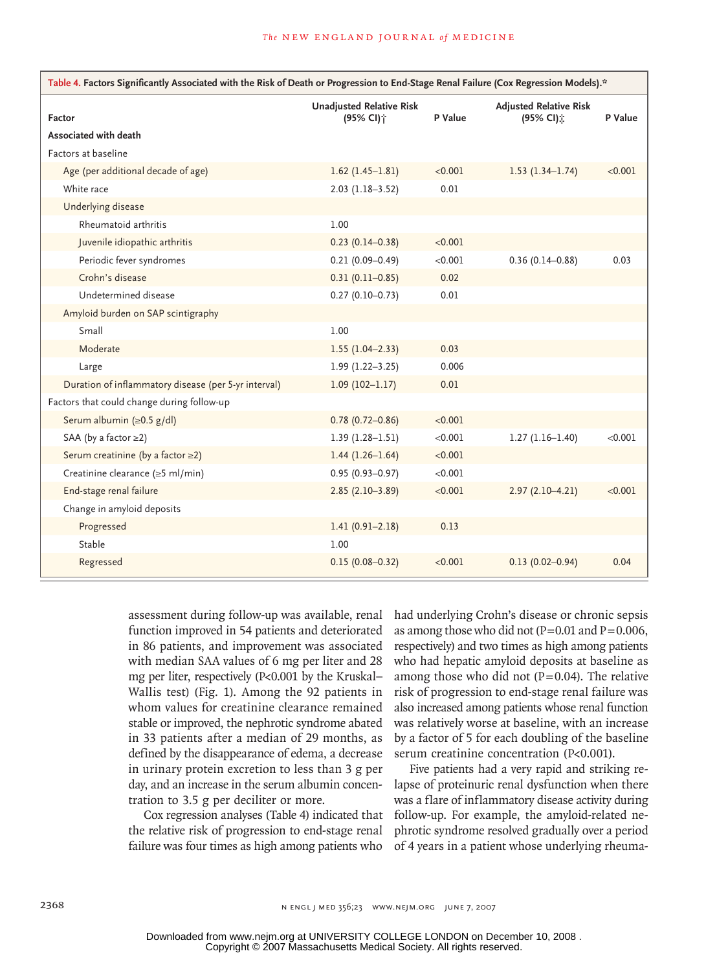| Table 4. Factors Significantly Associated with the Risk of Death or Progression to End-Stage Renal Failure (Cox Regression Models).* |                                                          |         |                                            |         |  |
|--------------------------------------------------------------------------------------------------------------------------------------|----------------------------------------------------------|---------|--------------------------------------------|---------|--|
| Factor                                                                                                                               | <b>Unadjusted Relative Risk</b><br>(95% CI) <sup>+</sup> | P Value | <b>Adjusted Relative Risk</b><br>(95% CI); | P Value |  |
| Associated with death                                                                                                                |                                                          |         |                                            |         |  |
| Factors at baseline                                                                                                                  |                                                          |         |                                            |         |  |
| Age (per additional decade of age)                                                                                                   | $1.62$ (1.45-1.81)                                       | < 0.001 | $1.53(1.34-1.74)$                          | < 0.001 |  |
| White race                                                                                                                           | $2.03$ (1.18-3.52)                                       | 0.01    |                                            |         |  |
| Underlying disease                                                                                                                   |                                                          |         |                                            |         |  |
| Rheumatoid arthritis                                                                                                                 | 1.00                                                     |         |                                            |         |  |
| Juvenile idiopathic arthritis                                                                                                        | $0.23(0.14 - 0.38)$                                      | < 0.001 |                                            |         |  |
| Periodic fever syndromes                                                                                                             | $0.21(0.09 - 0.49)$                                      | < 0.001 | $0.36(0.14 - 0.88)$                        | 0.03    |  |
| Crohn's disease                                                                                                                      | $0.31(0.11 - 0.85)$                                      | 0.02    |                                            |         |  |
| Undetermined disease                                                                                                                 | $0.27(0.10 - 0.73)$                                      | 0.01    |                                            |         |  |
| Amyloid burden on SAP scintigraphy                                                                                                   |                                                          |         |                                            |         |  |
| Small                                                                                                                                | 1.00                                                     |         |                                            |         |  |
| Moderate                                                                                                                             | $1.55(1.04-2.33)$                                        | 0.03    |                                            |         |  |
| Large                                                                                                                                | $1.99(1.22 - 3.25)$                                      | 0.006   |                                            |         |  |
| Duration of inflammatory disease (per 5-yr interval)                                                                                 | $1.09(102 - 1.17)$                                       | 0.01    |                                            |         |  |
| Factors that could change during follow-up                                                                                           |                                                          |         |                                            |         |  |
| Serum albumin $(\ge 0.5 \text{ g/d})$                                                                                                | $0.78(0.72 - 0.86)$                                      | < 0.001 |                                            |         |  |
| SAA (by a factor $\geq$ 2)                                                                                                           | $1.39(1.28 - 1.51)$                                      | < 0.001 | $1.27(1.16-1.40)$                          | < 0.001 |  |
| Serum creatinine (by a factor ≥2)                                                                                                    | $1.44(1.26-1.64)$                                        | < 0.001 |                                            |         |  |
| Creatinine clearance (≥5 ml/min)                                                                                                     | $0.95(0.93 - 0.97)$                                      | < 0.001 |                                            |         |  |
| End-stage renal failure                                                                                                              | $2.85(2.10-3.89)$                                        | < 0.001 | $2.97(2.10-4.21)$                          | < 0.001 |  |
| Change in amyloid deposits                                                                                                           |                                                          |         |                                            |         |  |
| Progressed                                                                                                                           | $1.41(0.91 - 2.18)$                                      | 0.13    |                                            |         |  |
| Stable                                                                                                                               | 1.00                                                     |         |                                            |         |  |
| Regressed                                                                                                                            | $0.15(0.08 - 0.32)$                                      | < 0.001 | $0.13(0.02 - 0.94)$                        | 0.04    |  |

assessment during follow-up was available, renal function improved in 54 patients and deteriorated in 86 patients, and improvement was associated with median SAA values of 6 mg per liter and 28 mg per liter, respectively (P<0.001 by the Kruskal– Wallis test) (Fig. 1). Among the 92 patients in whom values for creatinine clearance remained stable or improved, the nephrotic syndrome abated in 33 patients after a median of 29 months, as defined by the disappearance of edema, a decrease in urinary protein excretion to less than 3 g per day, and an increase in the serum albumin concentration to 3.5 g per deciliter or more.

Cox regression analyses (Table 4) indicated that the relative risk of progression to end-stage renal failure was four times as high among patients who had underlying Crohn's disease or chronic sepsis as among those who did not  $(P=0.01$  and  $P=0.006$ , respectively) and two times as high among patients who had hepatic amyloid deposits at baseline as among those who did not  $(P=0.04)$ . The relative risk of progression to end-stage renal failure was also increased among patients whose renal function was relatively worse at baseline, with an increase by a factor of 5 for each doubling of the baseline serum creatinine concentration (P<0.001).

Five patients had a very rapid and striking relapse of proteinuric renal dysfunction when there was a flare of inflammatory disease activity during follow-up. For example, the amyloid-related nephrotic syndrome resolved gradually over a period of 4 years in a patient whose underlying rheuma-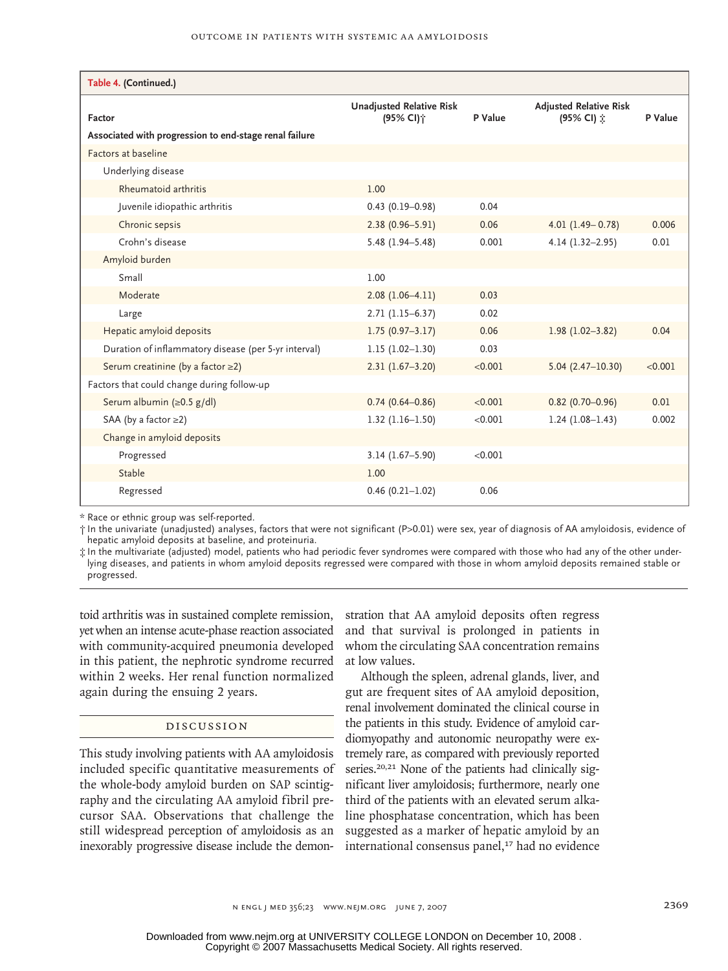| Table 4. (Continued.)                                  |                                                          |         |                                             |         |  |  |
|--------------------------------------------------------|----------------------------------------------------------|---------|---------------------------------------------|---------|--|--|
| Factor                                                 | <b>Unadjusted Relative Risk</b><br>(95% CI) <sup>+</sup> | P Value | <b>Adjusted Relative Risk</b><br>(95% CI) 立 | P Value |  |  |
| Associated with progression to end-stage renal failure |                                                          |         |                                             |         |  |  |
| Factors at baseline                                    |                                                          |         |                                             |         |  |  |
| Underlying disease                                     |                                                          |         |                                             |         |  |  |
| Rheumatoid arthritis                                   | 1.00                                                     |         |                                             |         |  |  |
| Juvenile idiopathic arthritis                          | $0.43(0.19 - 0.98)$                                      | 0.04    |                                             |         |  |  |
| Chronic sepsis                                         | $2.38(0.96 - 5.91)$                                      | 0.06    | $4.01(1.49 - 0.78)$                         | 0.006   |  |  |
| Crohn's disease                                        | $5.48(1.94 - 5.48)$                                      | 0.001   | $4.14(1.32 - 2.95)$                         | 0.01    |  |  |
| Amyloid burden                                         |                                                          |         |                                             |         |  |  |
| Small                                                  | 1.00                                                     |         |                                             |         |  |  |
| Moderate                                               | $2.08(1.06-4.11)$                                        | 0.03    |                                             |         |  |  |
| Large                                                  | $2.71(1.15-6.37)$                                        | 0.02    |                                             |         |  |  |
| Hepatic amyloid deposits                               | $1.75(0.97 - 3.17)$                                      | 0.06    | $1.98(1.02 - 3.82)$                         | 0.04    |  |  |
| Duration of inflammatory disease (per 5-yr interval)   | $1.15(1.02 - 1.30)$                                      | 0.03    |                                             |         |  |  |
| Serum creatinine (by a factor ≥2)                      | $2.31(1.67 - 3.20)$                                      | < 0.001 | $5.04(2.47-10.30)$                          | < 0.001 |  |  |
| Factors that could change during follow-up             |                                                          |         |                                             |         |  |  |
| Serum albumin (≥0.5 g/dl)                              | $0.74(0.64 - 0.86)$                                      | < 0.001 | $0.82(0.70 - 0.96)$                         | 0.01    |  |  |
| SAA (by a factor $\geq$ 2)                             | $1.32(1.16 - 1.50)$                                      | < 0.001 | $1.24(1.08-1.43)$                           | 0.002   |  |  |
| Change in amyloid deposits                             |                                                          |         |                                             |         |  |  |
| Progressed                                             | $3.14(1.67 - 5.90)$                                      | < 0.001 |                                             |         |  |  |
| Stable                                                 | 1.00                                                     |         |                                             |         |  |  |
| Regressed                                              | $0.46(0.21 - 1.02)$                                      | 0.06    |                                             |         |  |  |

\* Race or ethnic group was self-reported.

† In the univariate (unadjusted) analyses, factors that were not significant (P>0.01) were sex, year of diagnosis of AA amyloidosis, evidence of hepatic amyloid deposits at baseline, and proteinuria.

‡ In the multivariate (adjusted) model, patients who had periodic fever syndromes were compared with those who had any of the other underlying diseases, and patients in whom amyloid deposits regressed were compared with those in whom amyloid deposits remained stable or progressed.

toid arthritis was in sustained complete remission, yet when an intense acute-phase reaction associated with community-acquired pneumonia developed in this patient, the nephrotic syndrome recurred within 2 weeks. Her renal function normalized again during the ensuing 2 years.

# Discussion

This study involving patients with AA amyloidosis included specific quantitative measurements of the whole-body amyloid burden on SAP scintigraphy and the circulating AA amyloid fibril precursor SAA. Observations that challenge the still widespread perception of amyloidosis as an inexorably progressive disease include the demonstration that AA amyloid deposits often regress and that survival is prolonged in patients in whom the circulating SAA concentration remains at low values.

Although the spleen, adrenal glands, liver, and gut are frequent sites of AA amyloid deposition, renal involvement dominated the clinical course in the patients in this study. Evidence of amyloid cardiomyopathy and autonomic neuropathy were extremely rare, as compared with previously reported series.<sup>20,21</sup> None of the patients had clinically significant liver amyloidosis; furthermore, nearly one third of the patients with an elevated serum alkaline phosphatase concentration, which has been suggested as a marker of hepatic amyloid by an international consensus panel,<sup>17</sup> had no evidence

n engl j med 356;23 www.nejm.org june 7, 2007 2369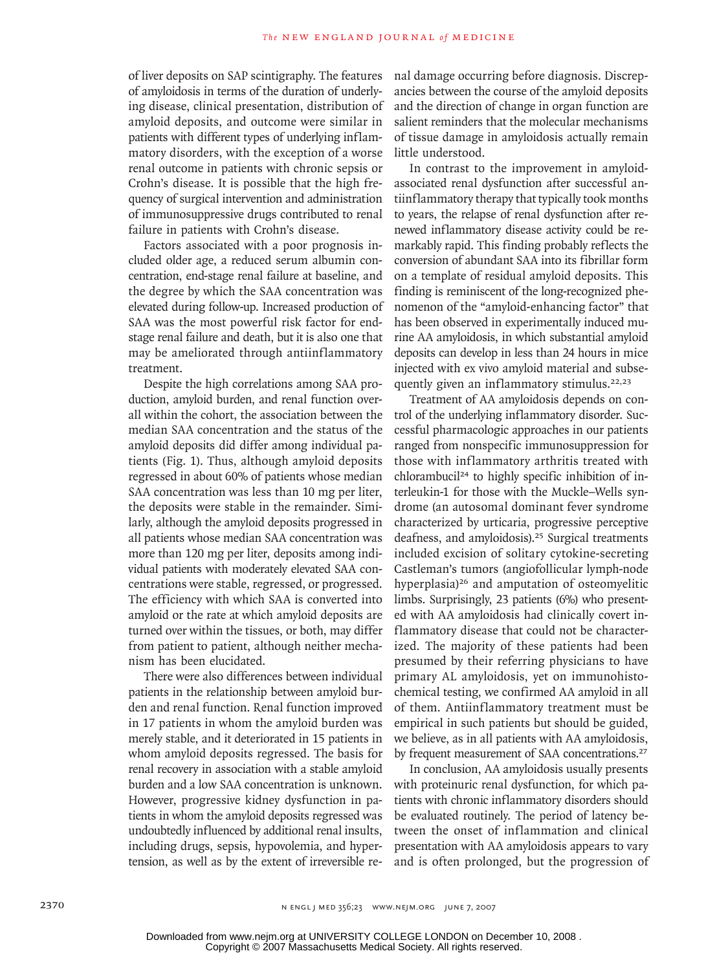of liver deposits on SAP scintigraphy. The features of amyloidosis in terms of the duration of underlying disease, clinical presentation, distribution of amyloid deposits, and outcome were similar in patients with different types of underlying inflammatory disorders, with the exception of a worse renal outcome in patients with chronic sepsis or Crohn's disease. It is possible that the high frequency of surgical intervention and administration of immunosuppressive drugs contributed to renal failure in patients with Crohn's disease.

Factors associated with a poor prognosis included older age, a reduced serum albumin concentration, end-stage renal failure at baseline, and the degree by which the SAA concentration was elevated during follow-up. Increased production of SAA was the most powerful risk factor for endstage renal failure and death, but it is also one that may be ameliorated through antiinflammatory treatment.

Despite the high correlations among SAA production, amyloid burden, and renal function overall within the cohort, the association between the median SAA concentration and the status of the amyloid deposits did differ among individual patients (Fig. 1). Thus, although amyloid deposits regressed in about 60% of patients whose median SAA concentration was less than 10 mg per liter, the deposits were stable in the remainder. Similarly, although the amyloid deposits progressed in all patients whose median SAA concentration was more than 120 mg per liter, deposits among individual patients with moderately elevated SAA concentrations were stable, regressed, or progressed. The efficiency with which SAA is converted into amyloid or the rate at which amyloid deposits are turned over within the tissues, or both, may differ from patient to patient, although neither mechanism has been elucidated.

There were also differences between individual patients in the relationship between amyloid burden and renal function. Renal function improved in 17 patients in whom the amyloid burden was merely stable, and it deteriorated in 15 patients in whom amyloid deposits regressed. The basis for renal recovery in association with a stable amyloid burden and a low SAA concentration is unknown. However, progressive kidney dysfunction in patients in whom the amyloid deposits regressed was undoubtedly influenced by additional renal insults, including drugs, sepsis, hypovolemia, and hypertension, as well as by the extent of irreversible renal damage occurring before diagnosis. Discrepancies between the course of the amyloid deposits and the direction of change in organ function are salient reminders that the molecular mechanisms of tissue damage in amyloidosis actually remain little understood.

In contrast to the improvement in amyloidassociated renal dysfunction after successful antiinflammatory therapy that typically took months to years, the relapse of renal dysfunction after renewed inflammatory disease activity could be remarkably rapid. This finding probably reflects the conversion of abundant SAA into its fibrillar form on a template of residual amyloid deposits. This finding is reminiscent of the long-recognized phenomenon of the "amyloid-enhancing factor" that has been observed in experimentally induced murine AA amyloidosis, in which substantial amyloid deposits can develop in less than 24 hours in mice injected with ex vivo amyloid material and subsequently given an inflammatory stimulus.<sup>22,23</sup>

Treatment of AA amyloidosis depends on control of the underlying inflammatory disorder. Successful pharmacologic approaches in our patients ranged from nonspecific immunosuppression for those with inflammatory arthritis treated with chlorambucil24 to highly specific inhibition of interleukin-1 for those with the Muckle–Wells syndrome (an autosomal dominant fever syndrome characterized by urticaria, progressive perceptive deafness, and amyloidosis).<sup>25</sup> Surgical treatments included excision of solitary cytokine-secreting Castleman's tumors (angiofollicular lymph-node hyperplasia)<sup>26</sup> and amputation of osteomyelitic limbs. Surprisingly, 23 patients (6%) who presented with AA amyloidosis had clinically covert inflammatory disease that could not be characterized. The majority of these patients had been presumed by their referring physicians to have primary AL amyloidosis, yet on immunohistochemical testing, we confirmed AA amyloid in all of them. Antiinflammatory treatment must be empirical in such patients but should be guided, we believe, as in all patients with AA amyloidosis, by frequent measurement of SAA concentrations.<sup>27</sup>

In conclusion, AA amyloidosis usually presents with proteinuric renal dysfunction, for which patients with chronic inflammatory disorders should be evaluated routinely. The period of latency between the onset of inflammation and clinical presentation with AA amyloidosis appears to vary and is often prolonged, but the progression of